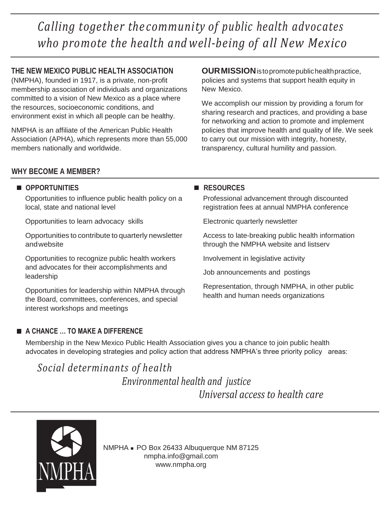*Calling together the community of public health advocates who promote the health and well-being of all New Mexico*

# **THE NEW MEXICO PUBLIC HEALTH ASSOCIATION**

(NMPHA), founded in 1917, is a private, non-profit membership association of individuals and organizations committed to a vision of New Mexico as a place where the resources, socioeconomic conditions, and environment exist in which all people can be healthy.

NMPHA is an affiliate of the American Public Health Association (APHA), which represents more than 55,000 members nationally and worldwide.

**OURMISSION**istopromotepublichealthpractice, policies and systems that support health equity in New Mexico.

We accomplish our mission by providing a forum for sharing research and practices, and providing a base for networking and action to promote and implement policies that improve health and quality of life. We seek to carry out our mission with integrity, honesty, transparency, cultural humility and passion.

## **WHY BECOME A MEMBER?**

## $\blacksquare$  **OPPORTUNITIES**

Opportunities to influence public health policy on a local, state and national level

Opportunities to learn advocacy skills

Opportunities to contribute to quarterly newsletter andwebsite

Opportunities to recognize public health workers and advocates for their accomplishments and leadership

Opportunities for leadership within NMPHA through the Board, committees, conferences, and special interest workshops and meetings

## **A CHANCE … TO MAKE A DIFFERENCE**

## **RESOURCES**

Professional advancement through discounted registration fees at annual NMPHA conference

Electronic quarterly newsletter

Access to late-breaking public health information through the NMPHA website and listserv

Involvement in legislative activity

Job announcements and postings

Representation, through NMPHA, in other public health and human needs organizations

Membership in the New Mexico Public Health Association gives you a chance to join public health advocates in developing strategies and policy action that address NMPHA's three priority policy areas:

# *Social determinants of health Environmental health and justice*

*Universal access to health care*



NMPHA ■ PO Box 26433 Albuquerque NM 87125 [nmpha.info@gmail.com](mailto:nmpha.info@gmail.com) [www.nmpha.org](http://www.nmpha.org/)